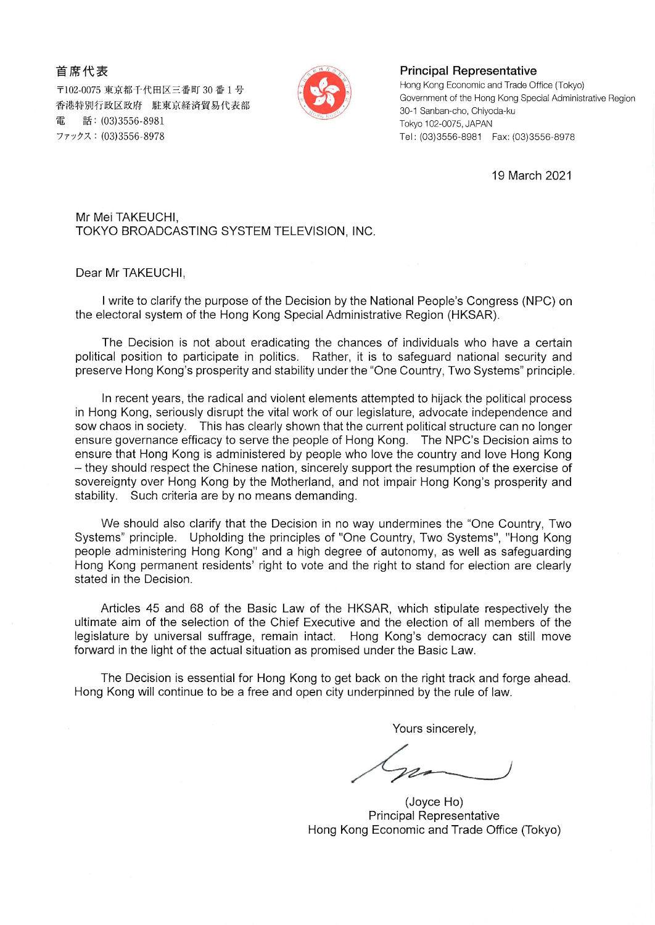首席代表

〒102-0075 東京都千代田区三番町 30 番 1 号 香港特別行政区政府 駐東京経済貿易代表部 話: (03)3556-8981 ファックス: (03)3556-8978



**Principal Representative** 

Hong Kong Economic and Trade Office (Tokyo) Government of the Hong Kong Special Administrative Region 30-1 Sanban-cho, Chiyoda-ku Tokyo 102-0075, JAPAN Tel: (03)3556-8981 Fax: (03)3556-8978

19 March 2021

Mr Mei TAKEUCHI, TOKYO BROADCASTING SYSTEM TELEVISION, INC.

Dear Mr TAKEUCHI,

I write to clarify the purpose of the Decision by the National People's Congress (NPC) on the electoral system of the Hong Kong Special Administrative Region (HKSAR).

The Decision is not about eradicating the chances of individuals who have a certain political position to participate in politics. Rather, it is to safeguard national security and preserve Hong Kong's prosperity and stability under the "One Country, Two Systems" principle.

In recent years, the radical and violent elements attempted to hijack the political process in Hong Kong, seriously disrupt the vital work of our legislature, advocate independence and sow chaos in society. This has clearly shown that the current political structure can no longer ensure governance efficacy to serve the people of Hong Kong. The NPC's Decision aims to ensure that Hong Kong is administered by people who love the country and love Hong Kong - they should respect the Chinese nation, sincerely support the resumption of the exercise of sovereignty over Hong Kong by the Motherland, and not impair Hong Kong's prosperity and stability. Such criteria are by no means demanding.

We should also clarify that the Decision in no way undermines the "One Country, Two Systems" principle. Upholding the principles of "One Country, Two Systems", "Hong Kong people administering Hong Kong" and a high degree of autonomy, as well as safeguarding Hong Kong permanent residents' right to vote and the right to stand for election are clearly stated in the Decision.

Articles 45 and 68 of the Basic Law of the HKSAR, which stipulate respectively the ultimate aim of the selection of the Chief Executive and the election of all members of the legislature by universal suffrage, remain intact. Hong Kong's democracy can still move forward in the light of the actual situation as promised under the Basic Law.

The Decision is essential for Hong Kong to get back on the right track and forge ahead. Hong Kong will continue to be a free and open city underpinned by the rule of law.

Yours sincerely,

(Joyce Ho) **Principal Representative** Hong Kong Economic and Trade Office (Tokyo)